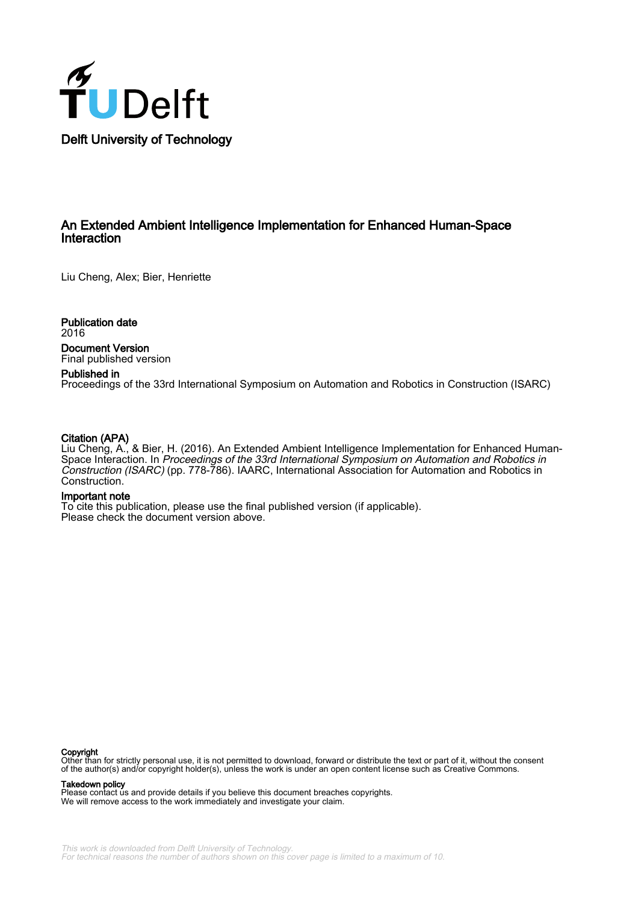

## An Extended Ambient Intelligence Implementation for Enhanced Human-Space Interaction

Liu Cheng, Alex; Bier, Henriette

Publication date 2016

Document Version Final published version

## Published in

Proceedings of the 33rd International Symposium on Automation and Robotics in Construction (ISARC)

## Citation (APA)

Liu Cheng, A., & Bier, H. (2016). An Extended Ambient Intelligence Implementation for Enhanced Human-Space Interaction. In Proceedings of the 33rd International Symposium on Automation and Robotics in Construction (ISARC) (pp. 778-786). IAARC, International Association for Automation and Robotics in Construction.

## Important note

To cite this publication, please use the final published version (if applicable). Please check the document version above.

#### Copyright

Other than for strictly personal use, it is not permitted to download, forward or distribute the text or part of it, without the consent<br>of the author(s) and/or copyright holder(s), unless the work is under an open content

#### Takedown policy

Please contact us and provide details if you believe this document breaches copyrights. We will remove access to the work immediately and investigate your claim.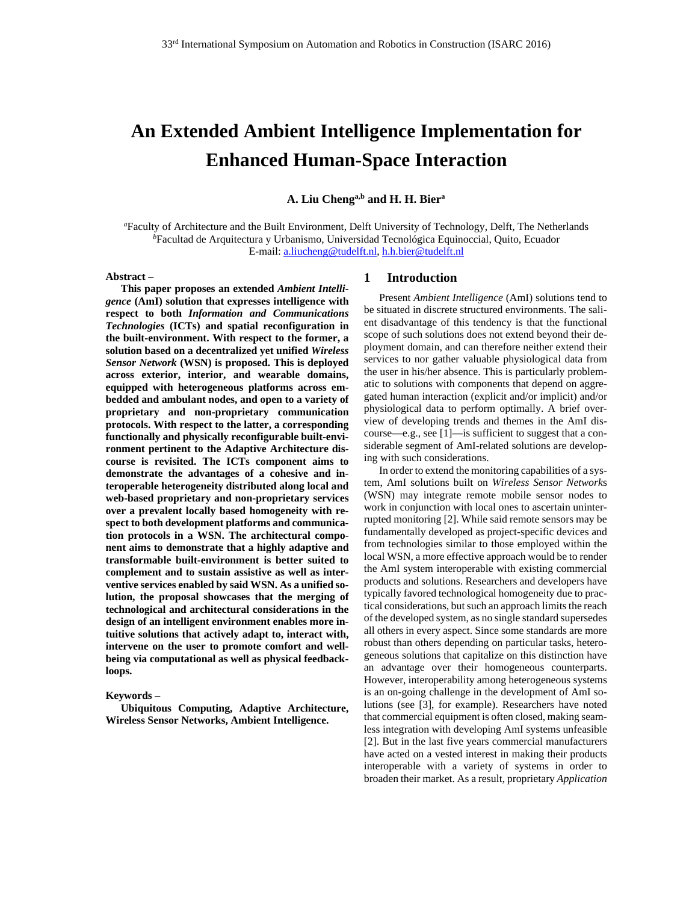# **An Extended Ambient Intelligence Implementation for Enhanced Human-Space Interaction**

**A. Liu Chenga,b and H. H. Biera**

*a* Faculty of Architecture and the Built Environment, Delft University of Technology, Delft, The Netherlands *b* Facultad de Arquitectura y Urbanismo, Universidad Tecnológica Equinoccial, Quito, Ecuador E-mail: a.liucheng@tudelft.nl, h.h.bier@tudelft.nl

**Abstract –** 

**This paper proposes an extended** *Ambient Intelligence* **(AmI) solution that expresses intelligence with respect to both** *Information and Communications Technologies* **(ICTs) and spatial reconfiguration in the built-environment. With respect to the former, a solution based on a decentralized yet unified** *Wireless Sensor Network* **(WSN) is proposed. This is deployed across exterior, interior, and wearable domains, equipped with heterogeneous platforms across embedded and ambulant nodes, and open to a variety of proprietary and non-proprietary communication protocols. With respect to the latter, a corresponding functionally and physically reconfigurable built-environment pertinent to the Adaptive Architecture discourse is revisited. The ICTs component aims to demonstrate the advantages of a cohesive and interoperable heterogeneity distributed along local and web-based proprietary and non-proprietary services over a prevalent locally based homogeneity with respect to both development platforms and communication protocols in a WSN. The architectural component aims to demonstrate that a highly adaptive and transformable built-environment is better suited to complement and to sustain assistive as well as interventive services enabled by said WSN. As a unified solution, the proposal showcases that the merging of technological and architectural considerations in the design of an intelligent environment enables more intuitive solutions that actively adapt to, interact with, intervene on the user to promote comfort and wellbeing via computational as well as physical feedbackloops.** 

#### **Keywords –**

**Ubiquitous Computing, Adaptive Architecture, Wireless Sensor Networks, Ambient Intelligence.** 

## **1 Introduction**

Present *Ambient Intelligence* (AmI) solutions tend to be situated in discrete structured environments. The salient disadvantage of this tendency is that the functional scope of such solutions does not extend beyond their deployment domain, and can therefore neither extend their services to nor gather valuable physiological data from the user in his/her absence. This is particularly problematic to solutions with components that depend on aggregated human interaction (explicit and/or implicit) and/or physiological data to perform optimally. A brief overview of developing trends and themes in the AmI discourse—e.g., see [1]—is sufficient to suggest that a considerable segment of AmI-related solutions are developing with such considerations.

In order to extend the monitoring capabilities of a system, AmI solutions built on *Wireless Sensor Network*s (WSN) may integrate remote mobile sensor nodes to work in conjunction with local ones to ascertain uninterrupted monitoring [2]. While said remote sensors may be fundamentally developed as project-specific devices and from technologies similar to those employed within the local WSN, a more effective approach would be to render the AmI system interoperable with existing commercial products and solutions. Researchers and developers have typically favored technological homogeneity due to practical considerations, but such an approach limits the reach of the developed system, as no single standard supersedes all others in every aspect. Since some standards are more robust than others depending on particular tasks, heterogeneous solutions that capitalize on this distinction have an advantage over their homogeneous counterparts. However, interoperability among heterogeneous systems is an on-going challenge in the development of AmI solutions (see [3], for example). Researchers have noted that commercial equipment is often closed, making seamless integration with developing AmI systems unfeasible [2]. But in the last five years commercial manufacturers have acted on a vested interest in making their products interoperable with a variety of systems in order to broaden their market. As a result, proprietary *Application*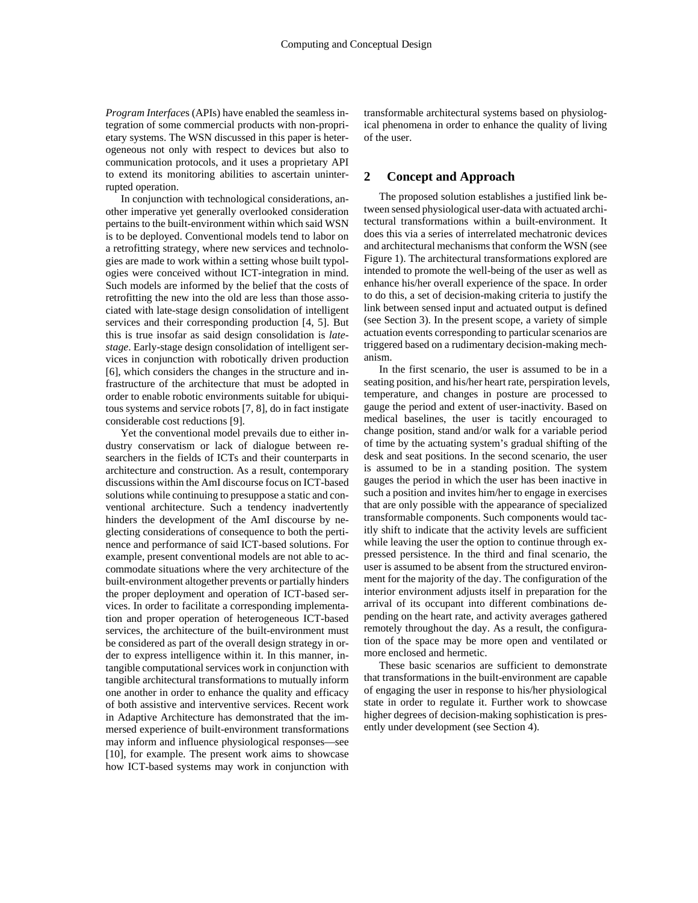*Program Interface*s (APIs) have enabled the seamless integration of some commercial products with non-proprietary systems. The WSN discussed in this paper is heterogeneous not only with respect to devices but also to communication protocols, and it uses a proprietary API to extend its monitoring abilities to ascertain uninterrupted operation.

In conjunction with technological considerations, another imperative yet generally overlooked consideration pertains to the built-environment within which said WSN is to be deployed. Conventional models tend to labor on a retrofitting strategy, where new services and technologies are made to work within a setting whose built typologies were conceived without ICT-integration in mind. Such models are informed by the belief that the costs of retrofitting the new into the old are less than those associated with late-stage design consolidation of intelligent services and their corresponding production [4, 5]. But this is true insofar as said design consolidation is *latestage*. Early-stage design consolidation of intelligent services in conjunction with robotically driven production [6], which considers the changes in the structure and infrastructure of the architecture that must be adopted in order to enable robotic environments suitable for ubiquitous systems and service robots [7, 8], do in fact instigate considerable cost reductions [9].

Yet the conventional model prevails due to either industry conservatism or lack of dialogue between researchers in the fields of ICTs and their counterparts in architecture and construction. As a result, contemporary discussions within the AmI discourse focus on ICT-based solutions while continuing to presuppose a static and conventional architecture. Such a tendency inadvertently hinders the development of the AmI discourse by neglecting considerations of consequence to both the pertinence and performance of said ICT-based solutions. For example, present conventional models are not able to accommodate situations where the very architecture of the built-environment altogether prevents or partially hinders the proper deployment and operation of ICT-based services. In order to facilitate a corresponding implementation and proper operation of heterogeneous ICT-based services, the architecture of the built-environment must be considered as part of the overall design strategy in order to express intelligence within it. In this manner, intangible computational services work in conjunction with tangible architectural transformations to mutually inform one another in order to enhance the quality and efficacy of both assistive and interventive services. Recent work in Adaptive Architecture has demonstrated that the immersed experience of built-environment transformations may inform and influence physiological responses—see [10], for example. The present work aims to showcase how ICT-based systems may work in conjunction with transformable architectural systems based on physiological phenomena in order to enhance the quality of living of the user.

## **2 Concept and Approach**

The proposed solution establishes a justified link between sensed physiological user-data with actuated architectural transformations within a built-environment. It does this via a series of interrelated mechatronic devices and architectural mechanisms that conform the WSN (see Figure 1). The architectural transformations explored are intended to promote the well-being of the user as well as enhance his/her overall experience of the space. In order to do this, a set of decision-making criteria to justify the link between sensed input and actuated output is defined (see Section 3). In the present scope, a variety of simple actuation events corresponding to particular scenarios are triggered based on a rudimentary decision-making mechanism.

In the first scenario, the user is assumed to be in a seating position, and his/her heart rate, perspiration levels, temperature, and changes in posture are processed to gauge the period and extent of user-inactivity. Based on medical baselines, the user is tacitly encouraged to change position, stand and/or walk for a variable period of time by the actuating system's gradual shifting of the desk and seat positions. In the second scenario, the user is assumed to be in a standing position. The system gauges the period in which the user has been inactive in such a position and invites him/her to engage in exercises that are only possible with the appearance of specialized transformable components. Such components would tacitly shift to indicate that the activity levels are sufficient while leaving the user the option to continue through expressed persistence. In the third and final scenario, the user is assumed to be absent from the structured environment for the majority of the day. The configuration of the interior environment adjusts itself in preparation for the arrival of its occupant into different combinations depending on the heart rate, and activity averages gathered remotely throughout the day. As a result, the configuration of the space may be more open and ventilated or more enclosed and hermetic.

These basic scenarios are sufficient to demonstrate that transformations in the built-environment are capable of engaging the user in response to his/her physiological state in order to regulate it. Further work to showcase higher degrees of decision-making sophistication is presently under development (see Section 4).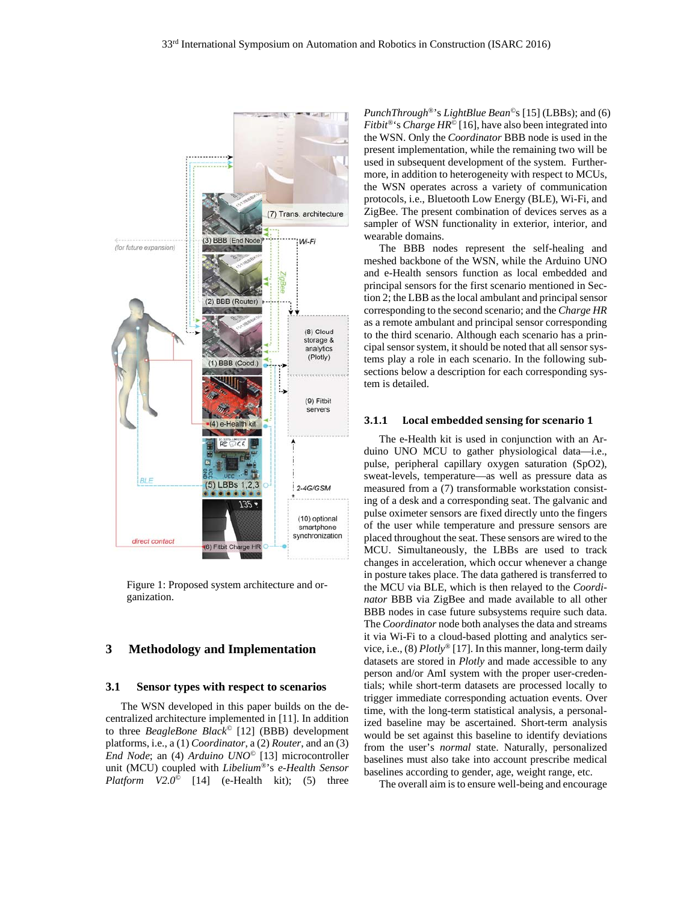

Figure 1: Proposed system architecture and organization.

## **3 Methodology and Implementation**

#### **3.1 Sensor types with respect to scenarios**

The WSN developed in this paper builds on the decentralized architecture implemented in [11]. In addition to three *BeagleBone Black©* [12] (BBB) development platforms, i.e., a (1) *Coordinator*, a (2) *Router*, and an (3) *End Node*; an (4) *Arduino UNO©* [13] microcontroller unit (MCU) coupled with *Libelium®*'s *e-Health Sensor Platform V2.0©* [14] (e-Health kit); (5) three *PunchThrough®*'s *LightBlue Bean©*s [15] (LBBs); and (6) *Fitbit*<sup>®</sup>'s *Charge HR*<sup> $\bar{\odot}$ </sup> [16], have also been integrated into the WSN. Only the *Coordinator* BBB node is used in the present implementation, while the remaining two will be used in subsequent development of the system. Furthermore, in addition to heterogeneity with respect to MCUs, the WSN operates across a variety of communication protocols, i.e., Bluetooth Low Energy (BLE), Wi-Fi, and ZigBee. The present combination of devices serves as a sampler of WSN functionality in exterior, interior, and wearable domains.

The BBB nodes represent the self-healing and meshed backbone of the WSN, while the Arduino UNO and e-Health sensors function as local embedded and principal sensors for the first scenario mentioned in Section 2; the LBB as the local ambulant and principal sensor corresponding to the second scenario; and the *Charge HR* as a remote ambulant and principal sensor corresponding to the third scenario. Although each scenario has a principal sensor system, it should be noted that all sensor systems play a role in each scenario. In the following subsections below a description for each corresponding system is detailed.

#### **3.1.1 Local embedded sensing for scenario 1**

The e-Health kit is used in conjunction with an Arduino UNO MCU to gather physiological data—i.e., pulse, peripheral capillary oxygen saturation (SpO2), sweat-levels, temperature—as well as pressure data as measured from a (7) transformable workstation consisting of a desk and a corresponding seat. The galvanic and pulse oximeter sensors are fixed directly unto the fingers of the user while temperature and pressure sensors are placed throughout the seat. These sensors are wired to the MCU. Simultaneously, the LBBs are used to track changes in acceleration, which occur whenever a change in posture takes place. The data gathered is transferred to the MCU via BLE, which is then relayed to the *Coordinator* BBB via ZigBee and made available to all other BBB nodes in case future subsystems require such data. The *Coordinator* node both analyses the data and streams it via Wi-Fi to a cloud-based plotting and analytics service, i.e., (8) *Plotly®* [17]. In this manner, long-term daily datasets are stored in *Plotly* and made accessible to any person and/or AmI system with the proper user-credentials; while short-term datasets are processed locally to trigger immediate corresponding actuation events. Over time, with the long-term statistical analysis, a personalized baseline may be ascertained. Short-term analysis would be set against this baseline to identify deviations from the user's *normal* state. Naturally, personalized baselines must also take into account prescribe medical baselines according to gender, age, weight range, etc.

The overall aim is to ensure well-being and encourage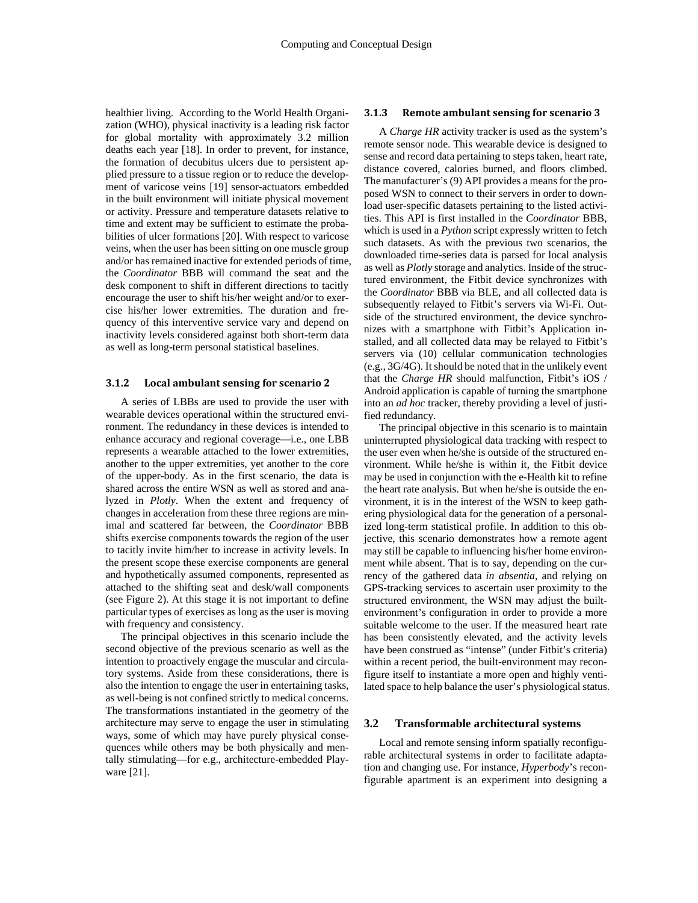healthier living. According to the World Health Organization (WHO), physical inactivity is a leading risk factor for global mortality with approximately 3.2 million deaths each year [18]. In order to prevent, for instance, the formation of decubitus ulcers due to persistent applied pressure to a tissue region or to reduce the development of varicose veins [19] sensor-actuators embedded in the built environment will initiate physical movement or activity. Pressure and temperature datasets relative to time and extent may be sufficient to estimate the probabilities of ulcer formations [20]. With respect to varicose veins, when the user has been sitting on one muscle group and/or has remained inactive for extended periods of time, the *Coordinator* BBB will command the seat and the desk component to shift in different directions to tacitly encourage the user to shift his/her weight and/or to exercise his/her lower extremities. The duration and frequency of this interventive service vary and depend on inactivity levels considered against both short-term data as well as long-term personal statistical baselines.

#### **3.1.2 Local ambulant sensing for scenario 2**

A series of LBBs are used to provide the user with wearable devices operational within the structured environment. The redundancy in these devices is intended to enhance accuracy and regional coverage—i.e., one LBB represents a wearable attached to the lower extremities, another to the upper extremities, yet another to the core of the upper-body. As in the first scenario, the data is shared across the entire WSN as well as stored and analyzed in *Plotly*. When the extent and frequency of changes in acceleration from these three regions are minimal and scattered far between, the *Coordinator* BBB shifts exercise components towards the region of the user to tacitly invite him/her to increase in activity levels. In the present scope these exercise components are general and hypothetically assumed components, represented as attached to the shifting seat and desk/wall components (see Figure 2). At this stage it is not important to define particular types of exercises as long as the user is moving with frequency and consistency.

The principal objectives in this scenario include the second objective of the previous scenario as well as the intention to proactively engage the muscular and circulatory systems. Aside from these considerations, there is also the intention to engage the user in entertaining tasks, as well-being is not confined strictly to medical concerns. The transformations instantiated in the geometry of the architecture may serve to engage the user in stimulating ways, some of which may have purely physical consequences while others may be both physically and mentally stimulating—for e.g., architecture-embedded Playware [21].

#### **3.1.3 Remote ambulant sensing for scenario 3**

A *Charge HR* activity tracker is used as the system's remote sensor node. This wearable device is designed to sense and record data pertaining to steps taken, heart rate, distance covered, calories burned, and floors climbed. The manufacturer's (9) API provides a means for the proposed WSN to connect to their servers in order to download user-specific datasets pertaining to the listed activities. This API is first installed in the *Coordinator* BBB, which is used in a *Python* script expressly written to fetch such datasets. As with the previous two scenarios, the downloaded time-series data is parsed for local analysis as well as *Plotly* storage and analytics. Inside of the structured environment, the Fitbit device synchronizes with the *Coordinator* BBB via BLE, and all collected data is subsequently relayed to Fitbit's servers via Wi-Fi. Outside of the structured environment, the device synchronizes with a smartphone with Fitbit's Application installed, and all collected data may be relayed to Fitbit's servers via (10) cellular communication technologies (e.g., 3G/4G). It should be noted that in the unlikely event that the *Charge HR* should malfunction, Fitbit's iOS / Android application is capable of turning the smartphone into an *ad hoc* tracker, thereby providing a level of justified redundancy.

The principal objective in this scenario is to maintain uninterrupted physiological data tracking with respect to the user even when he/she is outside of the structured environment. While he/she is within it, the Fitbit device may be used in conjunction with the e-Health kit to refine the heart rate analysis. But when he/she is outside the environment, it is in the interest of the WSN to keep gathering physiological data for the generation of a personalized long-term statistical profile. In addition to this objective, this scenario demonstrates how a remote agent may still be capable to influencing his/her home environment while absent. That is to say, depending on the currency of the gathered data *in absentia*, and relying on GPS-tracking services to ascertain user proximity to the structured environment, the WSN may adjust the builtenvironment's configuration in order to provide a more suitable welcome to the user. If the measured heart rate has been consistently elevated, and the activity levels have been construed as "intense" (under Fitbit's criteria) within a recent period, the built-environment may reconfigure itself to instantiate a more open and highly ventilated space to help balance the user's physiological status.

#### **3.2 Transformable architectural systems**

Local and remote sensing inform spatially reconfigurable architectural systems in order to facilitate adaptation and changing use. For instance, *Hyperbody*'s reconfigurable apartment is an experiment into designing a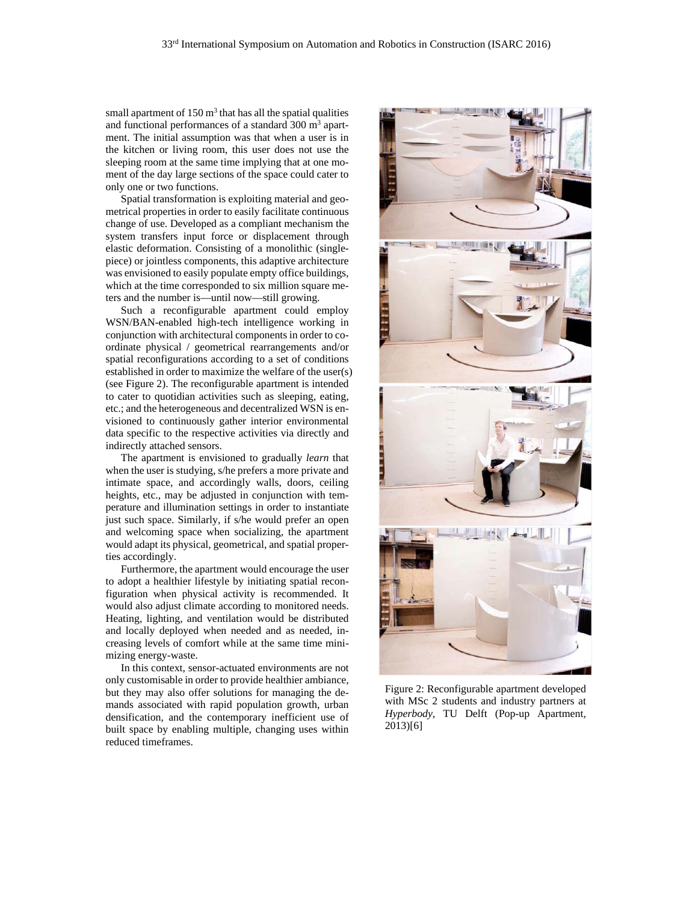small apartment of  $150 \text{ m}^3$  that has all the spatial qualities and functional performances of a standard  $300 \text{ m}^3$  apartment. The initial assumption was that when a user is in the kitchen or living room, this user does not use the sleeping room at the same time implying that at one moment of the day large sections of the space could cater to only one or two functions.

Spatial transformation is exploiting material and geometrical properties in order to easily facilitate continuous change of use. Developed as a compliant mechanism the system transfers input force or displacement through elastic deformation. Consisting of a monolithic (singlepiece) or jointless components, this adaptive architecture was envisioned to easily populate empty office buildings, which at the time corresponded to six million square meters and the number is—until now—still growing.

Such a reconfigurable apartment could employ WSN/BAN-enabled high-tech intelligence working in conjunction with architectural components in order to coordinate physical / geometrical rearrangements and/or spatial reconfigurations according to a set of conditions established in order to maximize the welfare of the user(s) (see Figure 2). The reconfigurable apartment is intended to cater to quotidian activities such as sleeping, eating, etc.; and the heterogeneous and decentralized WSN is envisioned to continuously gather interior environmental data specific to the respective activities via directly and indirectly attached sensors.

The apartment is envisioned to gradually *learn* that when the user is studying, s/he prefers a more private and intimate space, and accordingly walls, doors, ceiling heights, etc., may be adjusted in conjunction with temperature and illumination settings in order to instantiate just such space. Similarly, if s/he would prefer an open and welcoming space when socializing, the apartment would adapt its physical, geometrical, and spatial properties accordingly.

Furthermore, the apartment would encourage the user to adopt a healthier lifestyle by initiating spatial reconfiguration when physical activity is recommended. It would also adjust climate according to monitored needs. Heating, lighting, and ventilation would be distributed and locally deployed when needed and as needed, increasing levels of comfort while at the same time minimizing energy-waste.

In this context, sensor-actuated environments are not only customisable in order to provide healthier ambiance, but they may also offer solutions for managing the demands associated with rapid population growth, urban densification, and the contemporary inefficient use of built space by enabling multiple, changing uses within reduced timeframes.



Figure 2: Reconfigurable apartment developed with MSc 2 students and industry partners at *Hyperbody*, TU Delft (Pop-up Apartment, 2013)[6]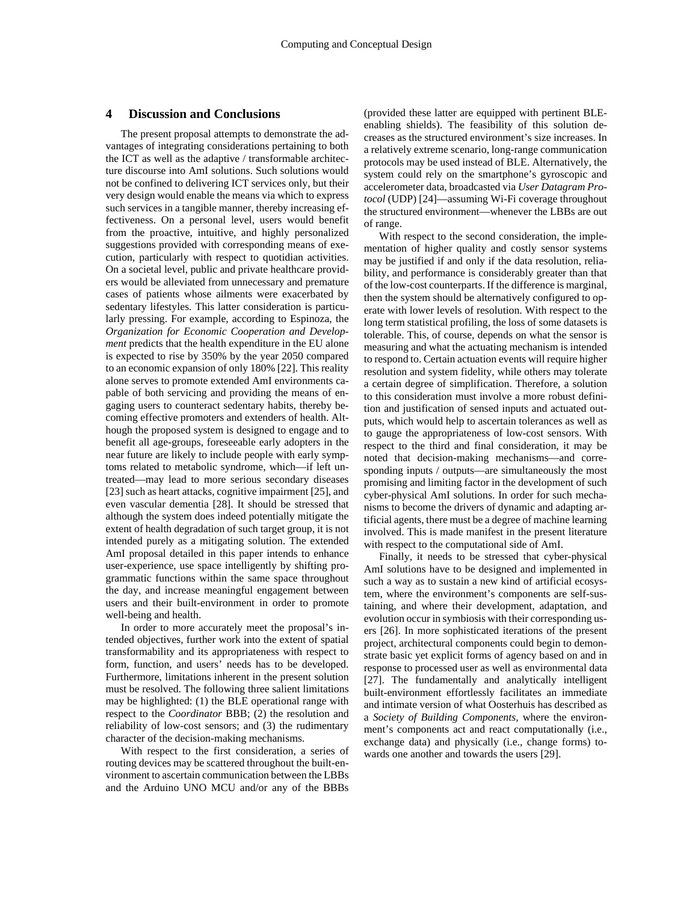#### **4 Discussion and Conclusions**

The present proposal attempts to demonstrate the advantages of integrating considerations pertaining to both the ICT as well as the adaptive / transformable architecture discourse into AmI solutions. Such solutions would not be confined to delivering ICT services only, but their very design would enable the means via which to express such services in a tangible manner, thereby increasing effectiveness. On a personal level, users would benefit from the proactive, intuitive, and highly personalized suggestions provided with corresponding means of execution, particularly with respect to quotidian activities. On a societal level, public and private healthcare providers would be alleviated from unnecessary and premature cases of patients whose ailments were exacerbated by sedentary lifestyles. This latter consideration is particularly pressing. For example, according to Espinoza, the *Organization for Economic Cooperation and Development* predicts that the health expenditure in the EU alone is expected to rise by 350% by the year 2050 compared to an economic expansion of only 180% [22]. This reality alone serves to promote extended AmI environments capable of both servicing and providing the means of engaging users to counteract sedentary habits, thereby becoming effective promoters and extenders of health. Although the proposed system is designed to engage and to benefit all age-groups, foreseeable early adopters in the near future are likely to include people with early symptoms related to metabolic syndrome, which—if left untreated—may lead to more serious secondary diseases [23] such as heart attacks, cognitive impairment [25], and even vascular dementia [28]. It should be stressed that although the system does indeed potentially mitigate the extent of health degradation of such target group, it is not intended purely as a mitigating solution. The extended AmI proposal detailed in this paper intends to enhance user-experience, use space intelligently by shifting programmatic functions within the same space throughout the day, and increase meaningful engagement between users and their built-environment in order to promote well-being and health.

In order to more accurately meet the proposal's intended objectives, further work into the extent of spatial transformability and its appropriateness with respect to form, function, and users' needs has to be developed. Furthermore, limitations inherent in the present solution must be resolved. The following three salient limitations may be highlighted: (1) the BLE operational range with respect to the *Coordinator* BBB; (2) the resolution and reliability of low-cost sensors; and (3) the rudimentary character of the decision-making mechanisms.

With respect to the first consideration, a series of routing devices may be scattered throughout the built-environment to ascertain communication between the LBBs and the Arduino UNO MCU and/or any of the BBBs

(provided these latter are equipped with pertinent BLEenabling shields). The feasibility of this solution decreases as the structured environment's size increases. In a relatively extreme scenario, long-range communication protocols may be used instead of BLE. Alternatively, the system could rely on the smartphone's gyroscopic and accelerometer data, broadcasted via *User Datagram Protocol* (UDP) [24]—assuming Wi-Fi coverage throughout the structured environment—whenever the LBBs are out of range.

With respect to the second consideration, the implementation of higher quality and costly sensor systems may be justified if and only if the data resolution, reliability, and performance is considerably greater than that of the low-cost counterparts. If the difference is marginal, then the system should be alternatively configured to operate with lower levels of resolution. With respect to the long term statistical profiling, the loss of some datasets is tolerable. This, of course, depends on what the sensor is measuring and what the actuating mechanism is intended to respond to. Certain actuation events will require higher resolution and system fidelity, while others may tolerate a certain degree of simplification. Therefore, a solution to this consideration must involve a more robust definition and justification of sensed inputs and actuated outputs, which would help to ascertain tolerances as well as to gauge the appropriateness of low-cost sensors. With respect to the third and final consideration, it may be noted that decision-making mechanisms—and corresponding inputs / outputs—are simultaneously the most promising and limiting factor in the development of such cyber-physical AmI solutions. In order for such mechanisms to become the drivers of dynamic and adapting artificial agents, there must be a degree of machine learning involved. This is made manifest in the present literature with respect to the computational side of AmI.

Finally, it needs to be stressed that cyber-physical AmI solutions have to be designed and implemented in such a way as to sustain a new kind of artificial ecosystem, where the environment's components are self-sustaining, and where their development, adaptation, and evolution occur in symbiosis with their corresponding users [26]. In more sophisticated iterations of the present project, architectural components could begin to demonstrate basic yet explicit forms of agency based on and in response to processed user as well as environmental data [27]. The fundamentally and analytically intelligent built-environment effortlessly facilitates an immediate and intimate version of what Oosterhuis has described as a *Society of Building Components*, where the environment's components act and react computationally (i.e., exchange data) and physically (i.e., change forms) towards one another and towards the users [29].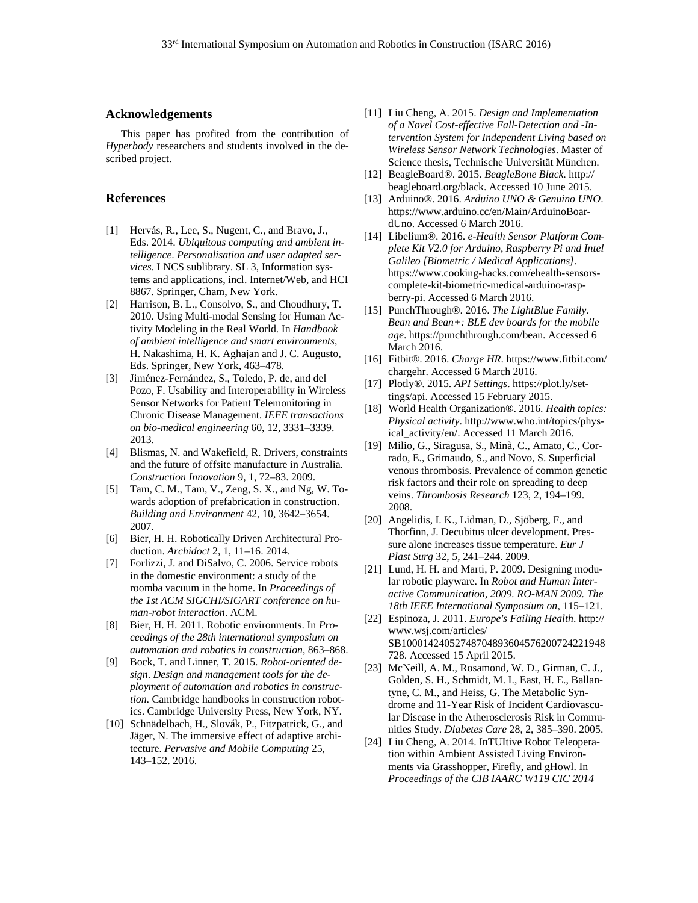#### **Acknowledgements**

This paper has profited from the contribution of *Hyperbody* researchers and students involved in the described project.

#### **References**

- [1] Hervás, R., Lee, S., Nugent, C., and Bravo, J., Eds. 2014. *Ubiquitous computing and ambient intelligence*. *Personalisation and user adapted services*. LNCS sublibrary. SL 3, Information systems and applications, incl. Internet/Web, and HCI 8867. Springer, Cham, New York.
- [2] Harrison, B. L., Consolvo, S., and Choudhury, T. 2010. Using Multi-modal Sensing for Human Activity Modeling in the Real World. In *Handbook of ambient intelligence and smart environments*, H. Nakashima, H. K. Aghajan and J. C. Augusto, Eds. Springer, New York, 463–478.
- [3] Jiménez-Fernández, S., Toledo, P. de, and del Pozo, F. Usability and Interoperability in Wireless Sensor Networks for Patient Telemonitoring in Chronic Disease Management. *IEEE transactions on bio-medical engineering* 60, 12, 3331–3339. 2013.
- [4] Blismas, N. and Wakefield, R. Drivers, constraints and the future of offsite manufacture in Australia. *Construction Innovation* 9, 1, 72–83. 2009.
- [5] Tam, C. M., Tam, V., Zeng, S. X., and Ng, W. Towards adoption of prefabrication in construction. *Building and Environment* 42, 10, 3642–3654. 2007.
- [6] Bier, H. H. Robotically Driven Architectural Production. *Archidoct* 2, 1, 11–16. 2014.
- [7] Forlizzi, J. and DiSalvo, C. 2006. Service robots in the domestic environment: a study of the roomba vacuum in the home. In *Proceedings of the 1st ACM SIGCHI/SIGART conference on human-robot interaction*. ACM.
- [8] Bier, H. H. 2011. Robotic environments. In *Proceedings of the 28th international symposium on automation and robotics in construction*, 863–868.
- [9] Bock, T. and Linner, T. 2015. *Robot-oriented design*. *Design and management tools for the deployment of automation and robotics in construction*. Cambridge handbooks in construction robotics. Cambridge University Press, New York, NY.
- [10] Schnädelbach, H., Slovák, P., Fitzpatrick, G., and Jäger, N. The immersive effect of adaptive architecture. *Pervasive and Mobile Computing* 25, 143–152. 2016.
- [11] Liu Cheng, A. 2015. *Design and Implementation of a Novel Cost-effective Fall-Detection and -Intervention System for Independent Living based on Wireless Sensor Network Technologies*. Master of Science thesis, Technische Universität München.
- [12] BeagleBoard®. 2015. *BeagleBone Black*. http:// beagleboard.org/black. Accessed 10 June 2015.
- [13] Arduino®. 2016. *Arduino UNO & Genuino UNO*. https://www.arduino.cc/en/Main/ArduinoBoardUno. Accessed 6 March 2016.
- [14] Libelium®. 2016. *e-Health Sensor Platform Complete Kit V2.0 for Arduino, Raspberry Pi and Intel Galileo [Biometric / Medical Applications]*. https://www.cooking-hacks.com/ehealth-sensorscomplete-kit-biometric-medical-arduino-raspberry-pi. Accessed 6 March 2016.
- [15] PunchThrough®. 2016. *The LightBlue Family*. *Bean and Bean+: BLE dev boards for the mobile age*. https://punchthrough.com/bean. Accessed 6 March 2016.
- [16] Fitbit®. 2016. *Charge HR*. https://www.fitbit.com/ chargehr. Accessed 6 March 2016.
- [17] Plotly®. 2015. *API Settings*. https://plot.ly/settings/api. Accessed 15 February 2015.
- [18] World Health Organization®. 2016. *Health topics: Physical activity*. http://www.who.int/topics/physical\_activity/en/. Accessed 11 March 2016.
- [19] Milio, G., Siragusa, S., Minà, C., Amato, C., Corrado, E., Grimaudo, S., and Novo, S. Superficial venous thrombosis. Prevalence of common genetic risk factors and their role on spreading to deep veins. *Thrombosis Research* 123, 2, 194–199. 2008.
- [20] Angelidis, I. K., Lidman, D., Sjöberg, F., and Thorfinn, J. Decubitus ulcer development. Pressure alone increases tissue temperature. *Eur J Plast Surg* 32, 5, 241–244. 2009.
- [21] Lund, H. H. and Marti, P. 2009. Designing modular robotic playware. In *Robot and Human Interactive Communication, 2009. RO-MAN 2009. The 18th IEEE International Symposium on*, 115–121.
- [22] Espinoza, J. 2011. *Europe's Failing Health*. http:// www.wsj.com/articles/ SB10001424052748704893604576200724221948 728. Accessed 15 April 2015.
- [23] McNeill, A. M., Rosamond, W. D., Girman, C. J., Golden, S. H., Schmidt, M. I., East, H. E., Ballantyne, C. M., and Heiss, G. The Metabolic Syndrome and 11-Year Risk of Incident Cardiovascular Disease in the Atherosclerosis Risk in Communities Study. *Diabetes Care* 28, 2, 385–390. 2005.
- [24] Liu Cheng, A. 2014. InTUItive Robot Teleoperation within Ambient Assisted Living Environments via Grasshopper, Firefly, and gHowl. In *Proceedings of the CIB IAARC W119 CIC 2014*